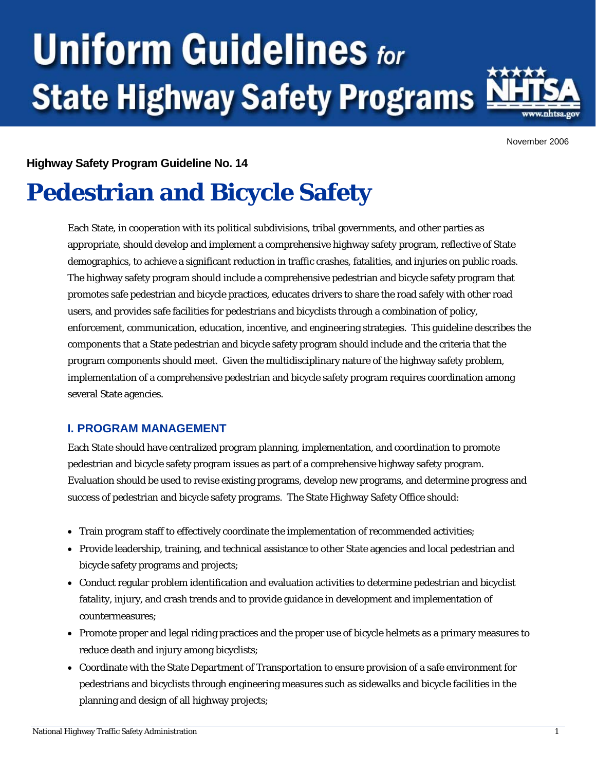# **Uniform Guidelines for State Highway Safety Programs**



November 2006

# **Highway Safety Program Guideline No. 14**

# **Pedestrian and Bicycle Safety**

Each State, in cooperation with its political subdivisions, tribal governments, and other parties as appropriate, should develop and implement a comprehensive highway safety program, reflective of State demographics, to achieve a significant reduction in traffic crashes, fatalities, and injuries on public roads. The highway safety program should include a comprehensive pedestrian and bicycle safety program that promotes safe pedestrian and bicycle practices, educates drivers to share the road safely with other road users, and provides safe facilities for pedestrians and bicyclists through a combination of policy, enforcement, communication, education, incentive, and engineering strategies. This guideline describes the components that a State pedestrian and bicycle safety program should include and the criteria that the program components should meet. Given the multidisciplinary nature of the highway safety problem, implementation of a comprehensive pedestrian and bicycle safety program requires coordination among several State agencies.

## **I. PROGRAM MANAGEMENT**

Each State should have centralized program planning, implementation, and coordination to promote pedestrian and bicycle safety program issues as part of a comprehensive highway safety program. Evaluation should be used to revise existing programs, develop new programs, and determine progress and success of pedestrian and bicycle safety programs. The State Highway Safety Office should:

- Train program staff to effectively coordinate the implementation of recommended activities;
- Provide leadership, training, and technical assistance to other State agencies and local pedestrian and bicycle safety programs and projects;
- Conduct regular problem identification and evaluation activities to determine pedestrian and bicyclist fatality, injury, and crash trends and to provide guidance in development and implementation of countermeasures;
- Promote proper and legal riding practices and the proper use of bicycle helmets as a primary measures to reduce death and injury among bicyclists;
- Coordinate with the State Department of Transportation to ensure provision of a safe environment for pedestrians and bicyclists through engineering measures such as sidewalks and bicycle facilities in the planning and design of all highway projects;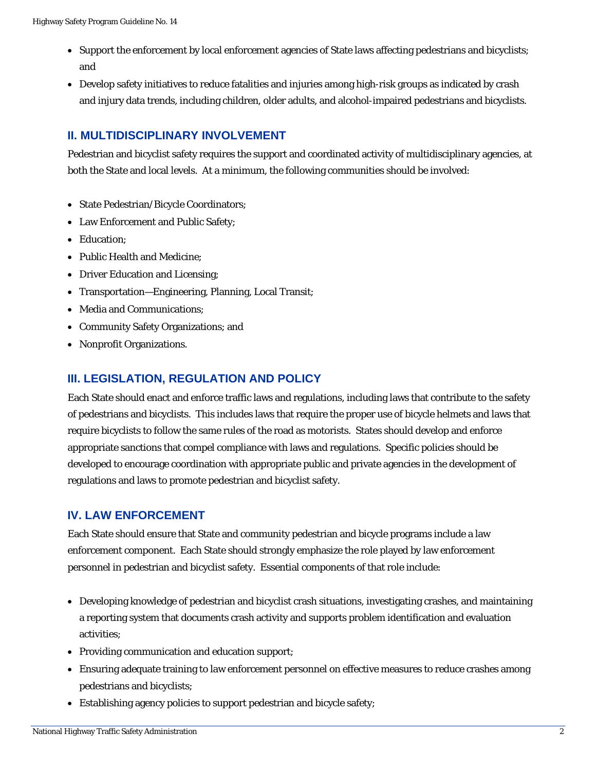- Support the enforcement by local enforcement agencies of State laws affecting pedestrians and bicyclists; and
- Develop safety initiatives to reduce fatalities and injuries among high-risk groups as indicated by crash and injury data trends, including children, older adults, and alcohol-impaired pedestrians and bicyclists.

# **II. MULTIDISCIPLINARY INVOLVEMENT**

Pedestrian and bicyclist safety requires the support and coordinated activity of multidisciplinary agencies, at both the State and local levels. At a minimum, the following communities should be involved:

- State Pedestrian/Bicycle Coordinators;
- Law Enforcement and Public Safety;
- Education;
- Public Health and Medicine;
- Driver Education and Licensing;
- Transportation—Engineering, Planning, Local Transit;
- Media and Communications;
- Community Safety Organizations; and
- Nonprofit Organizations.

## **III. LEGISLATION, REGULATION AND POLICY**

Each State should enact and enforce traffic laws and regulations, including laws that contribute to the safety of pedestrians and bicyclists. This includes laws that require the proper use of bicycle helmets and laws that require bicyclists to follow the same rules of the road as motorists. States should develop and enforce appropriate sanctions that compel compliance with laws and regulations. Specific policies should be developed to encourage coordination with appropriate public and private agencies in the development of regulations and laws to promote pedestrian and bicyclist safety.

#### **IV. LAW ENFORCEMENT**

Each State should ensure that State and community pedestrian and bicycle programs include a law enforcement component. Each State should strongly emphasize the role played by law enforcement personnel in pedestrian and bicyclist safety. Essential components of that role include:

- Developing knowledge of pedestrian and bicyclist crash situations, investigating crashes, and maintaining a reporting system that documents crash activity and supports problem identification and evaluation activities;
- Providing communication and education support;
- Ensuring adequate training to law enforcement personnel on effective measures to reduce crashes among pedestrians and bicyclists;
- Establishing agency policies to support pedestrian and bicycle safety;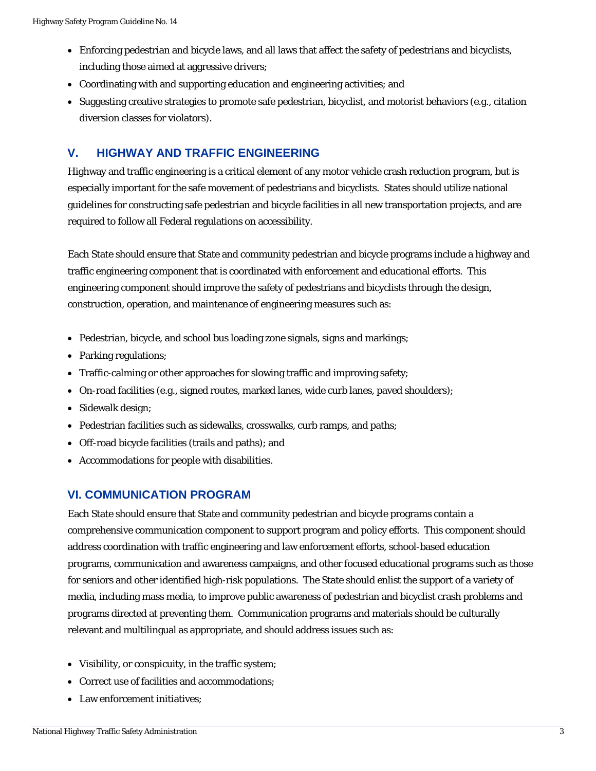- Enforcing pedestrian and bicycle laws, and all laws that affect the safety of pedestrians and bicyclists, including those aimed at aggressive drivers;
- Coordinating with and supporting education and engineering activities; and
- Suggesting creative strategies to promote safe pedestrian, bicyclist, and motorist behaviors (e.g., citation diversion classes for violators).

#### **V. HIGHWAY AND TRAFFIC ENGINEERING**

Highway and traffic engineering is a critical element of any motor vehicle crash reduction program, but is especially important for the safe movement of pedestrians and bicyclists. States should utilize national guidelines for constructing safe pedestrian and bicycle facilities in all new transportation projects, and are required to follow all Federal regulations on accessibility.

Each State should ensure that State and community pedestrian and bicycle programs include a highway and traffic engineering component that is coordinated with enforcement and educational efforts. This engineering component should improve the safety of pedestrians and bicyclists through the design, construction, operation, and maintenance of engineering measures such as:

- Pedestrian, bicycle, and school bus loading zone signals, signs and markings;
- Parking regulations;
- Traffic-calming or other approaches for slowing traffic and improving safety;
- On-road facilities (e.g., signed routes, marked lanes, wide curb lanes, paved shoulders);
- Sidewalk design;
- Pedestrian facilities such as sidewalks, crosswalks, curb ramps, and paths;
- Off-road bicycle facilities (trails and paths); and
- Accommodations for people with disabilities.

#### **VI. COMMUNICATION PROGRAM**

Each State should ensure that State and community pedestrian and bicycle programs contain a comprehensive communication component to support program and policy efforts. This component should address coordination with traffic engineering and law enforcement efforts, school-based education programs, communication and awareness campaigns, and other focused educational programs such as those for seniors and other identified high-risk populations. The State should enlist the support of a variety of media, including mass media, to improve public awareness of pedestrian and bicyclist crash problems and programs directed at preventing them. Communication programs and materials should be culturally relevant and multilingual as appropriate, and should address issues such as:

- Visibility, or conspicuity, in the traffic system;
- Correct use of facilities and accommodations;
- Law enforcement initiatives: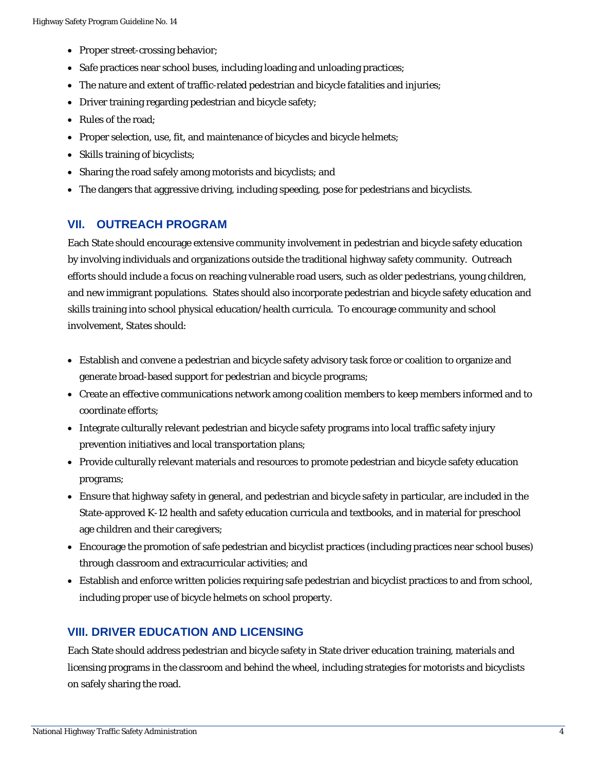- Proper street-crossing behavior;
- Safe practices near school buses, including loading and unloading practices;
- The nature and extent of traffic-related pedestrian and bicycle fatalities and injuries;
- Driver training regarding pedestrian and bicycle safety;
- Rules of the road;
- Proper selection, use, fit, and maintenance of bicycles and bicycle helmets;
- Skills training of bicyclists;
- Sharing the road safely among motorists and bicyclists; and
- The dangers that aggressive driving, including speeding, pose for pedestrians and bicyclists.

#### **VII. OUTREACH PROGRAM**

Each State should encourage extensive community involvement in pedestrian and bicycle safety education by involving individuals and organizations outside the traditional highway safety community. Outreach efforts should include a focus on reaching vulnerable road users, such as older pedestrians, young children, and new immigrant populations. States should also incorporate pedestrian and bicycle safety education and skills training into school physical education/health curricula. To encourage community and school involvement, States should:

- Establish and convene a pedestrian and bicycle safety advisory task force or coalition to organize and generate broad-based support for pedestrian and bicycle programs;
- Create an effective communications network among coalition members to keep members informed and to coordinate efforts;
- Integrate culturally relevant pedestrian and bicycle safety programs into local traffic safety injury prevention initiatives and local transportation plans;
- Provide culturally relevant materials and resources to promote pedestrian and bicycle safety education programs;
- Ensure that highway safety in general, and pedestrian and bicycle safety in particular, are included in the State-approved K-12 health and safety education curricula and textbooks, and in material for preschool age children and their caregivers;
- Encourage the promotion of safe pedestrian and bicyclist practices (including practices near school buses) through classroom and extracurricular activities; and
- Establish and enforce written policies requiring safe pedestrian and bicyclist practices to and from school, including proper use of bicycle helmets on school property.

#### **VIII. DRIVER EDUCATION AND LICENSING**

Each State should address pedestrian and bicycle safety in State driver education training, materials and licensing programs in the classroom and behind the wheel, including strategies for motorists and bicyclists on safely sharing the road.